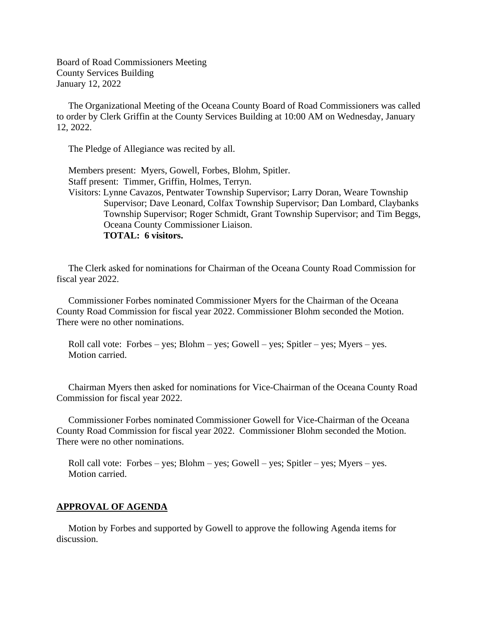Board of Road Commissioners Meeting County Services Building January 12, 2022

 The Organizational Meeting of the Oceana County Board of Road Commissioners was called to order by Clerk Griffin at the County Services Building at 10:00 AM on Wednesday, January 12, 2022.

The Pledge of Allegiance was recited by all.

 Members present: Myers, Gowell, Forbes, Blohm, Spitler. Staff present: Timmer, Griffin, Holmes, Terryn. Visitors: Lynne Cavazos, Pentwater Township Supervisor; Larry Doran, Weare Township Supervisor; Dave Leonard, Colfax Township Supervisor; Dan Lombard, Claybanks Township Supervisor; Roger Schmidt, Grant Township Supervisor; and Tim Beggs, Oceana County Commissioner Liaison. **TOTAL: 6 visitors.**

 The Clerk asked for nominations for Chairman of the Oceana County Road Commission for fiscal year 2022.

 Commissioner Forbes nominated Commissioner Myers for the Chairman of the Oceana County Road Commission for fiscal year 2022. Commissioner Blohm seconded the Motion. There were no other nominations.

 Roll call vote: Forbes – yes; Blohm – yes; Gowell – yes; Spitler – yes; Myers – yes. Motion carried.

 Chairman Myers then asked for nominations for Vice-Chairman of the Oceana County Road Commission for fiscal year 2022.

 Commissioner Forbes nominated Commissioner Gowell for Vice-Chairman of the Oceana County Road Commission for fiscal year 2022. Commissioner Blohm seconded the Motion. There were no other nominations.

 Roll call vote: Forbes – yes; Blohm – yes; Gowell – yes; Spitler – yes; Myers – yes. Motion carried.

#### **APPROVAL OF AGENDA**

 Motion by Forbes and supported by Gowell to approve the following Agenda items for discussion.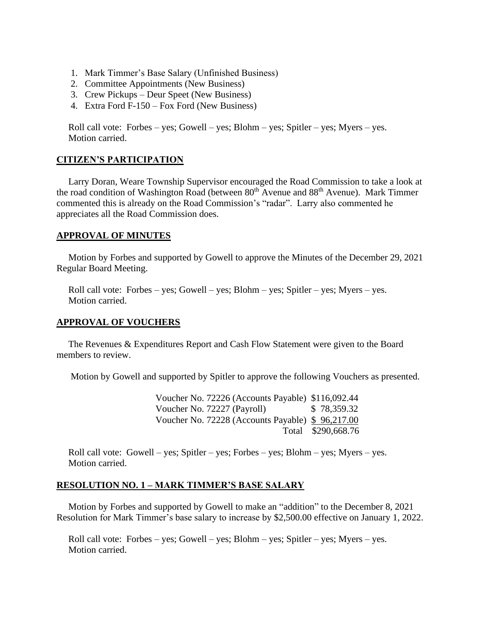- 1. Mark Timmer's Base Salary (Unfinished Business)
- 2. Committee Appointments (New Business)
- 3. Crew Pickups Deur Speet (New Business)
- 4. Extra Ford F-150 Fox Ford (New Business)

 Roll call vote: Forbes – yes; Gowell – yes; Blohm – yes; Spitler – yes; Myers – yes. Motion carried.

## **CITIZEN'S PARTICIPATION**

 Larry Doran, Weare Township Supervisor encouraged the Road Commission to take a look at the road condition of Washington Road (between  $80<sup>th</sup>$  Avenue and  $88<sup>th</sup>$  Avenue). Mark Timmer commented this is already on the Road Commission's "radar". Larry also commented he appreciates all the Road Commission does.

## **APPROVAL OF MINUTES**

 Motion by Forbes and supported by Gowell to approve the Minutes of the December 29, 2021 Regular Board Meeting.

 Roll call vote: Forbes – yes; Gowell – yes; Blohm – yes; Spitler – yes; Myers – yes. Motion carried.

### **APPROVAL OF VOUCHERS**

 The Revenues & Expenditures Report and Cash Flow Statement were given to the Board members to review.

Motion by Gowell and supported by Spitler to approve the following Vouchers as presented.

 Voucher No. 72226 (Accounts Payable) \$116,092.44 Voucher No. 72227 (Payroll) \$ 78,359.32 Voucher No. 72228 (Accounts Payable) \$ 96,217.00 Total \$290,668.76

Roll call vote: Gowell – yes; Spitler – yes; Forbes – yes; Blohm – yes; Myers – yes. Motion carried.

# **RESOLUTION NO. 1 – MARK TIMMER'S BASE SALARY**

 Motion by Forbes and supported by Gowell to make an "addition" to the December 8, 2021 Resolution for Mark Timmer's base salary to increase by \$2,500.00 effective on January 1, 2022.

 Roll call vote: Forbes – yes; Gowell – yes; Blohm – yes; Spitler – yes; Myers – yes. Motion carried.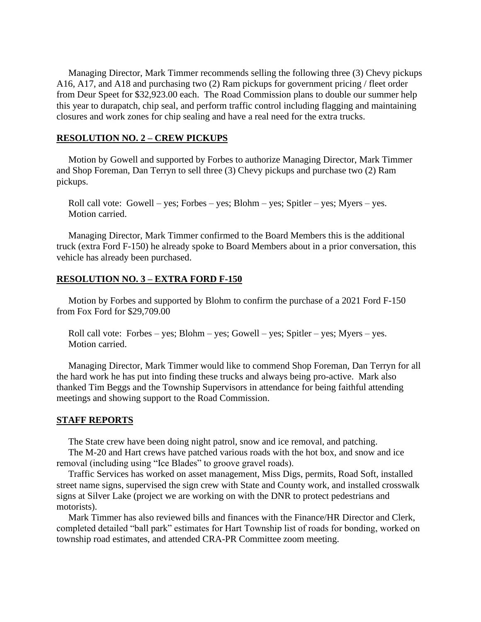Managing Director, Mark Timmer recommends selling the following three (3) Chevy pickups A16, A17, and A18 and purchasing two (2) Ram pickups for government pricing / fleet order from Deur Speet for \$32,923.00 each. The Road Commission plans to double our summer help this year to durapatch, chip seal, and perform traffic control including flagging and maintaining closures and work zones for chip sealing and have a real need for the extra trucks.

# **RESOLUTION NO. 2 – CREW PICKUPS**

 Motion by Gowell and supported by Forbes to authorize Managing Director, Mark Timmer and Shop Foreman, Dan Terryn to sell three (3) Chevy pickups and purchase two (2) Ram pickups.

 Roll call vote: Gowell – yes; Forbes – yes; Blohm – yes; Spitler – yes; Myers – yes. Motion carried.

 Managing Director, Mark Timmer confirmed to the Board Members this is the additional truck (extra Ford F-150) he already spoke to Board Members about in a prior conversation, this vehicle has already been purchased.

### **RESOLUTION NO. 3 – EXTRA FORD F-150**

 Motion by Forbes and supported by Blohm to confirm the purchase of a 2021 Ford F-150 from Fox Ford for \$29,709.00

 Roll call vote: Forbes – yes; Blohm – yes; Gowell – yes; Spitler – yes; Myers – yes. Motion carried.

 Managing Director, Mark Timmer would like to commend Shop Foreman, Dan Terryn for all the hard work he has put into finding these trucks and always being pro-active. Mark also thanked Tim Beggs and the Township Supervisors in attendance for being faithful attending meetings and showing support to the Road Commission.

#### **STAFF REPORTS**

The State crew have been doing night patrol, snow and ice removal, and patching.

 The M-20 and Hart crews have patched various roads with the hot box, and snow and ice removal (including using "Ice Blades" to groove gravel roads).

 Traffic Services has worked on asset management, Miss Digs, permits, Road Soft, installed street name signs, supervised the sign crew with State and County work, and installed crosswalk signs at Silver Lake (project we are working on with the DNR to protect pedestrians and motorists).

 Mark Timmer has also reviewed bills and finances with the Finance/HR Director and Clerk, completed detailed "ball park" estimates for Hart Township list of roads for bonding, worked on township road estimates, and attended CRA-PR Committee zoom meeting.